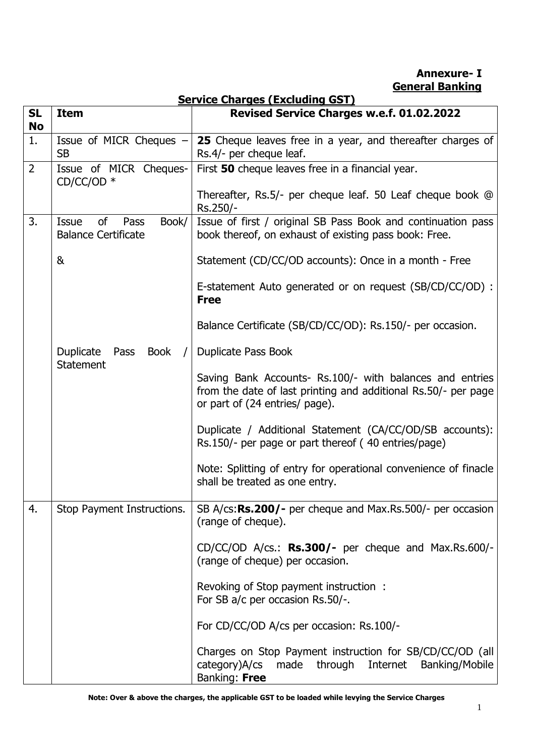**Annexure- I General Banking** 

|                                                                  | <u>Service Charges (Excluding GST)</u>        |                                                                                                                                                              |  |
|------------------------------------------------------------------|-----------------------------------------------|--------------------------------------------------------------------------------------------------------------------------------------------------------------|--|
| <b>SL</b><br><b>No</b>                                           | <b>Item</b>                                   | Revised Service Charges w.e.f. 01.02.2022                                                                                                                    |  |
| 1.                                                               | Issue of MICR Cheques -<br><b>SB</b>          | 25 Cheque leaves free in a year, and thereafter charges of<br>Rs.4/- per cheque leaf.                                                                        |  |
| $\overline{2}$<br>Issue of MICR Cheques-<br>$CD/CC/OD$ *         |                                               | First 50 cheque leaves free in a financial year.                                                                                                             |  |
|                                                                  |                                               | Thereafter, Rs.5/- per cheque leaf. 50 Leaf cheque book @<br>Rs.250/-                                                                                        |  |
| 3.<br>of<br>Book/<br>Issue<br>Pass<br><b>Balance Certificate</b> |                                               | Issue of first / original SB Pass Book and continuation pass<br>book thereof, on exhaust of existing pass book: Free.                                        |  |
|                                                                  | &                                             | Statement (CD/CC/OD accounts): Once in a month - Free                                                                                                        |  |
|                                                                  |                                               | E-statement Auto generated or on request (SB/CD/CC/OD) :<br><b>Free</b>                                                                                      |  |
|                                                                  |                                               | Balance Certificate (SB/CD/CC/OD): Rs.150/- per occasion.                                                                                                    |  |
|                                                                  | Duplicate<br>Pass<br>Book<br><b>Statement</b> | Duplicate Pass Book                                                                                                                                          |  |
|                                                                  |                                               | Saving Bank Accounts- Rs.100/- with balances and entries<br>from the date of last printing and additional Rs.50/- per page<br>or part of (24 entries/ page). |  |
|                                                                  |                                               | Duplicate / Additional Statement (CA/CC/OD/SB accounts):<br>Rs.150/- per page or part thereof (40 entries/page)                                              |  |
|                                                                  |                                               | Note: Splitting of entry for operational convenience of finacle<br>shall be treated as one entry.                                                            |  |
| 4.                                                               | Stop Payment Instructions.                    | SB A/cs:Rs.200/- per cheque and Max.Rs.500/- per occasion<br>(range of cheque).                                                                              |  |
|                                                                  |                                               | $CD/CC/OD$ A/cs.: Rs.300/- per cheque and Max.Rs.600/-<br>(range of cheque) per occasion.                                                                    |  |
|                                                                  |                                               | Revoking of Stop payment instruction:<br>For SB a/c per occasion Rs.50/-.                                                                                    |  |
|                                                                  |                                               | For CD/CC/OD A/cs per occasion: Rs.100/-                                                                                                                     |  |
|                                                                  |                                               | Charges on Stop Payment instruction for SB/CD/CC/OD (all<br>category)A/cs<br>made<br>through<br>Internet<br>Banking/Mobile<br>Banking: Free                  |  |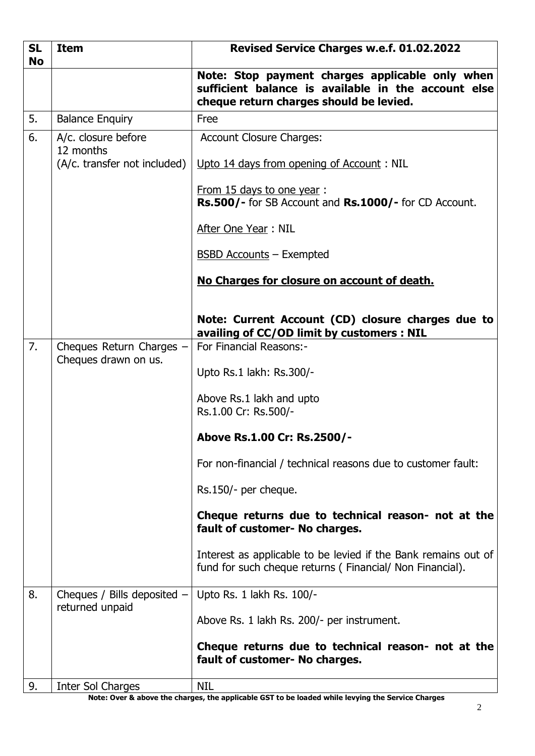| <b>SL</b><br><b>No</b> | <b>Item</b>                                      | Revised Service Charges w.e.f. 01.02.2022                                                                                                         |  |
|------------------------|--------------------------------------------------|---------------------------------------------------------------------------------------------------------------------------------------------------|--|
|                        |                                                  | Note: Stop payment charges applicable only when<br>sufficient balance is available in the account else<br>cheque return charges should be levied. |  |
| 5.                     | <b>Balance Enquiry</b>                           | Free                                                                                                                                              |  |
| 6.                     | A/c. closure before<br>12 months                 | <b>Account Closure Charges:</b>                                                                                                                   |  |
|                        | (A/c. transfer not included)                     | Upto 14 days from opening of Account: NIL                                                                                                         |  |
|                        |                                                  | From 15 days to one year:<br>Rs.500/- for SB Account and Rs.1000/- for CD Account.                                                                |  |
|                        |                                                  | After One Year: NIL                                                                                                                               |  |
|                        |                                                  | <b>BSBD Accounts - Exempted</b>                                                                                                                   |  |
|                        |                                                  | No Charges for closure on account of death.                                                                                                       |  |
|                        |                                                  | Note: Current Account (CD) closure charges due to<br>availing of CC/OD limit by customers : NIL                                                   |  |
| 7.                     | Cheques Return Charges -<br>Cheques drawn on us. | For Financial Reasons:-                                                                                                                           |  |
|                        |                                                  | Upto Rs.1 lakh: Rs.300/-                                                                                                                          |  |
|                        |                                                  | Above Rs.1 lakh and upto<br>Rs.1.00 Cr: Rs.500/-                                                                                                  |  |
|                        |                                                  | Above Rs.1.00 Cr: Rs.2500/-                                                                                                                       |  |
|                        |                                                  | For non-financial / technical reasons due to customer fault:                                                                                      |  |
|                        |                                                  | Rs.150/- per cheque.                                                                                                                              |  |
|                        |                                                  | Cheque returns due to technical reason- not at the<br>fault of customer- No charges.                                                              |  |
|                        |                                                  | Interest as applicable to be levied if the Bank remains out of<br>fund for such cheque returns (Financial/Non Financial).                         |  |
| 8.                     | Cheques / Bills deposited $-$<br>returned unpaid | Upto Rs. 1 lakh Rs. 100/-                                                                                                                         |  |
|                        |                                                  | Above Rs. 1 lakh Rs. 200/- per instrument.                                                                                                        |  |
|                        |                                                  | Cheque returns due to technical reason- not at the<br>fault of customer- No charges.                                                              |  |
| 9.                     | Inter Sol Charges                                | <b>NIL</b>                                                                                                                                        |  |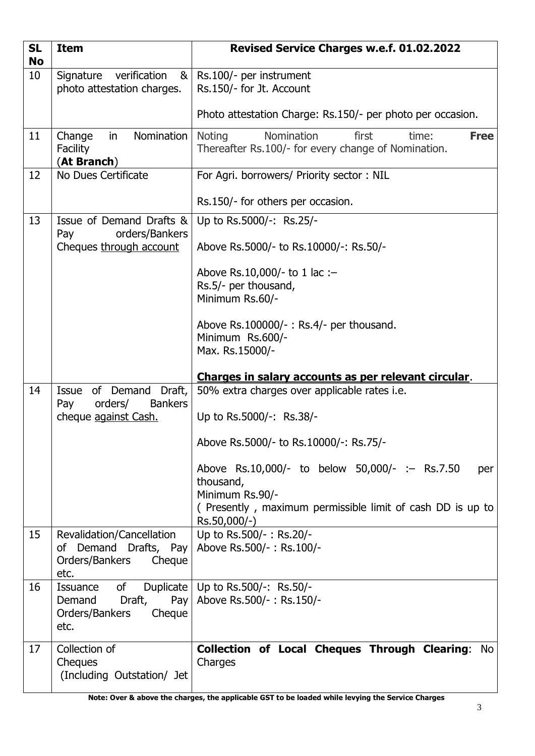| <b>SL</b><br><b>No</b> | <b>Item</b>                                                                            | Revised Service Charges w.e.f. 01.02.2022                                                                                                                          |  |
|------------------------|----------------------------------------------------------------------------------------|--------------------------------------------------------------------------------------------------------------------------------------------------------------------|--|
| 10                     | Signature<br>verification<br>8 <sub>l</sub><br>photo attestation charges.              | Rs.100/- per instrument<br>Rs.150/- for Jt. Account                                                                                                                |  |
|                        |                                                                                        | Photo attestation Charge: Rs.150/- per photo per occasion.                                                                                                         |  |
| 11                     | Nomination<br>Change<br>in<br>Facility<br>(At Branch)                                  | Nomination<br><b>Noting</b><br><b>Free</b><br>first<br>time:<br>Thereafter Rs.100/- for every change of Nomination.                                                |  |
| 12                     | No Dues Certificate                                                                    | For Agri. borrowers/ Priority sector: NIL                                                                                                                          |  |
|                        |                                                                                        | Rs.150/- for others per occasion.                                                                                                                                  |  |
| 13                     | Issue of Demand Drafts &<br>orders/Bankers<br>Pay                                      | Up to Rs.5000/-: Rs.25/-                                                                                                                                           |  |
|                        | Cheques through account                                                                | Above Rs.5000/- to Rs.10000/-: Rs.50/-                                                                                                                             |  |
|                        |                                                                                        | Above Rs.10,000/- to 1 lac :-                                                                                                                                      |  |
|                        |                                                                                        | Rs.5/- per thousand,<br>Minimum Rs.60/-                                                                                                                            |  |
|                        |                                                                                        | Above Rs.100000/-: Rs.4/- per thousand.<br>Minimum Rs.600/-<br>Max. Rs.15000/-                                                                                     |  |
|                        |                                                                                        | Charges in salary accounts as per relevant circular.                                                                                                               |  |
| 14                     | Draft,<br>of Demand<br>Issue<br>orders/<br><b>Bankers</b><br>Pay                       | 50% extra charges over applicable rates i.e.<br>Up to Rs.5000/-: Rs.38/-                                                                                           |  |
|                        | cheque against Cash.                                                                   |                                                                                                                                                                    |  |
|                        |                                                                                        | Above Rs.5000/- to Rs.10000/-: Rs.75/-                                                                                                                             |  |
|                        |                                                                                        | Above Rs.10,000/- to below 50,000/- :- Rs.7.50<br>per<br>thousand,<br>Minimum Rs.90/-<br>(Presently, maximum permissible limit of cash DD is up to<br>Rs.50,000/-) |  |
|                        |                                                                                        |                                                                                                                                                                    |  |
| 15                     | Revalidation/Cancellation<br>of Demand Drafts, Pay<br>Orders/Bankers<br>Cheque<br>etc. | Up to Rs.500/-: Rs.20/-<br>Above Rs.500/-: Rs.100/-                                                                                                                |  |
| 16                     | of<br><b>Issuance</b><br>Pay<br>Draft,<br>Demand<br>Orders/Bankers<br>Cheque<br>etc.   | Duplicate $\vert$ Up to Rs.500/-: Rs.50/-<br>Above Rs.500/-: Rs.150/-                                                                                              |  |
| 17                     | Collection of<br>Cheques<br>(Including Outstation/ Jet                                 | Collection of Local Cheques Through Clearing: No<br>Charges                                                                                                        |  |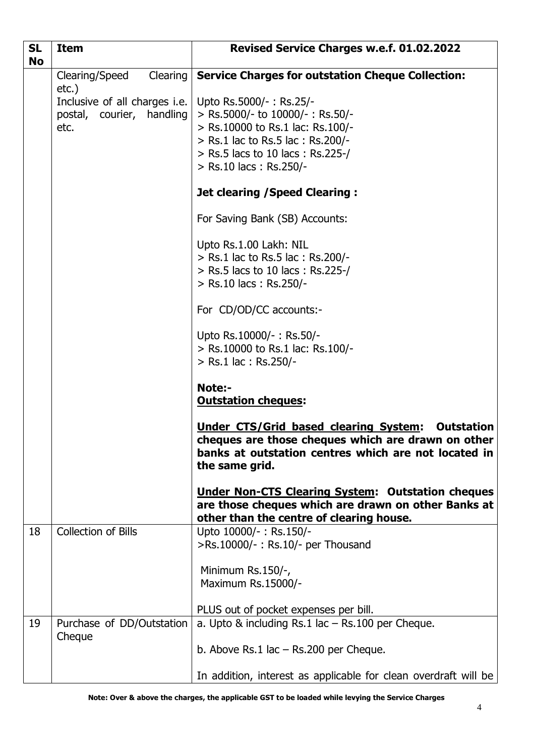| <b>SL</b><br><b>No</b> | <b>Item</b>                                                                                              | Revised Service Charges w.e.f. 01.02.2022                                                                                                                                                         |  |
|------------------------|----------------------------------------------------------------------------------------------------------|---------------------------------------------------------------------------------------------------------------------------------------------------------------------------------------------------|--|
|                        | Clearing<br>Clearing/Speed                                                                               | <b>Service Charges for outstation Cheque Collection:</b>                                                                                                                                          |  |
|                        | $etc.$ )<br>Inclusive of all charges i.e.   Upto Rs.5000/-: Rs.25/-<br>postal, courier, handling<br>etc. | > Rs.5000/- to 10000/-: Rs.50/-<br>> Rs.10000 to Rs.1 lac: Rs.100/-<br>> Rs.1 lac to Rs.5 lac : Rs.200/-<br>> Rs.5 lacs to 10 lacs: Rs.225-/<br>> Rs.10 lacs: Rs.250/-                            |  |
|                        |                                                                                                          | <b>Jet clearing / Speed Clearing:</b>                                                                                                                                                             |  |
|                        |                                                                                                          | For Saving Bank (SB) Accounts:                                                                                                                                                                    |  |
|                        |                                                                                                          | Upto Rs.1.00 Lakh: NIL<br>> Rs.1 lac to Rs.5 lac : Rs.200/-<br>> Rs.5 lacs to 10 lacs: Rs.225-/<br>> Rs.10 lacs: Rs.250/-                                                                         |  |
|                        |                                                                                                          | For CD/OD/CC accounts:-                                                                                                                                                                           |  |
|                        |                                                                                                          | Upto Rs.10000/-: Rs.50/-<br>> Rs.10000 to Rs.1 lac: Rs.100/-<br>> Rs.1 lac : Rs.250/-                                                                                                             |  |
|                        |                                                                                                          | <b>Note:-</b><br><b>Outstation cheques:</b>                                                                                                                                                       |  |
|                        |                                                                                                          | <b>Under CTS/Grid based clearing System:</b><br><b>Outstation</b><br>cheques are those cheques which are drawn on other<br>banks at outstation centres which are not located in<br>the same grid. |  |
|                        |                                                                                                          | <b>Under Non-CTS Clearing System: Outstation cheques</b><br>are those cheques which are drawn on other Banks at<br>other than the centre of clearing house.                                       |  |
| 18                     | <b>Collection of Bills</b>                                                                               | Upto 10000/-: Rs.150/-<br>>Rs.10000/-: Rs.10/- per Thousand                                                                                                                                       |  |
|                        |                                                                                                          | Minimum Rs.150/-,<br>Maximum Rs.15000/-                                                                                                                                                           |  |
| 19                     | Purchase of DD/Outstation                                                                                | PLUS out of pocket expenses per bill.<br>a. Upto $\&$ including Rs.1 lac $-$ Rs.100 per Cheque.                                                                                                   |  |
|                        | Cheque                                                                                                   | b. Above Rs.1 lac $-$ Rs.200 per Cheque.                                                                                                                                                          |  |
|                        |                                                                                                          | In addition, interest as applicable for clean overdraft will be                                                                                                                                   |  |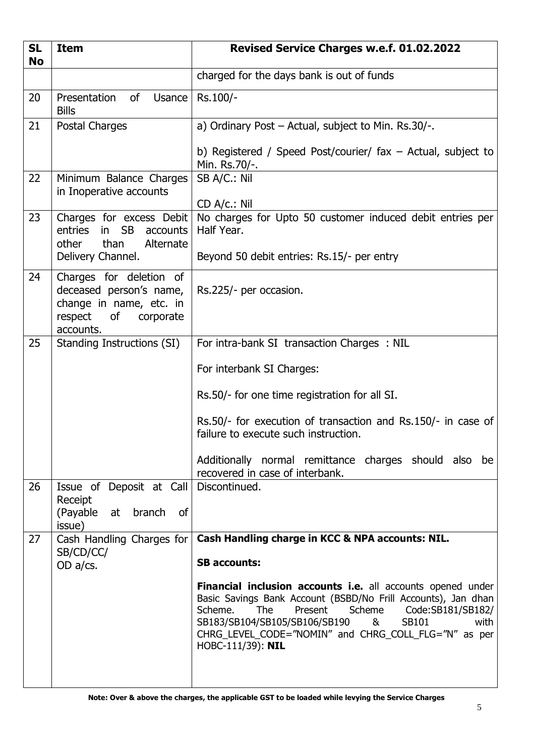| <b>SL</b><br><b>No</b> | <b>Item</b>                                                                                                                      | Revised Service Charges w.e.f. 01.02.2022                                                                                                                                                                                                                                                                                           |  |
|------------------------|----------------------------------------------------------------------------------------------------------------------------------|-------------------------------------------------------------------------------------------------------------------------------------------------------------------------------------------------------------------------------------------------------------------------------------------------------------------------------------|--|
|                        |                                                                                                                                  | charged for the days bank is out of funds                                                                                                                                                                                                                                                                                           |  |
| 20                     | of<br>Presentation<br>Usance  <br><b>Bills</b>                                                                                   | Rs.100/-                                                                                                                                                                                                                                                                                                                            |  |
| 21                     | Postal Charges                                                                                                                   | a) Ordinary Post - Actual, subject to Min. Rs.30/-.                                                                                                                                                                                                                                                                                 |  |
|                        |                                                                                                                                  | b) Registered / Speed Post/courier/ fax - Actual, subject to<br>Min. Rs.70/-.                                                                                                                                                                                                                                                       |  |
| 22                     | Minimum Balance Charges<br>in Inoperative accounts                                                                               | SB A/C.: Nil<br>CD A/c.: Nil                                                                                                                                                                                                                                                                                                        |  |
| 23                     | Charges for excess Debit<br>entries<br><b>SB</b><br>accounts<br>$\mathsf{in}$<br>than<br>Alternate<br>other<br>Delivery Channel. | No charges for Upto 50 customer induced debit entries per<br>Half Year.<br>Beyond 50 debit entries: Rs.15/- per entry                                                                                                                                                                                                               |  |
| 24                     | Charges for deletion of                                                                                                          |                                                                                                                                                                                                                                                                                                                                     |  |
|                        | deceased person's name,<br>change in name, etc. in<br>respect<br>of<br>corporate<br>accounts.                                    | Rs.225/- per occasion.                                                                                                                                                                                                                                                                                                              |  |
| 25                     | Standing Instructions (SI)                                                                                                       | For intra-bank SI transaction Charges : NIL                                                                                                                                                                                                                                                                                         |  |
|                        |                                                                                                                                  | For interbank SI Charges:                                                                                                                                                                                                                                                                                                           |  |
|                        |                                                                                                                                  | Rs.50/- for one time registration for all SI.                                                                                                                                                                                                                                                                                       |  |
|                        |                                                                                                                                  | Rs.50/- for execution of transaction and Rs.150/- in case of<br>failure to execute such instruction.                                                                                                                                                                                                                                |  |
|                        |                                                                                                                                  | Additionally normal remittance charges should also be<br>recovered in case of interbank.                                                                                                                                                                                                                                            |  |
| 26                     | Issue of Deposit at Call<br>Receipt                                                                                              | Discontinued.                                                                                                                                                                                                                                                                                                                       |  |
|                        | (Payable at branch<br>0f<br>issue)                                                                                               |                                                                                                                                                                                                                                                                                                                                     |  |
| 27                     | Cash Handling Charges for                                                                                                        | Cash Handling charge in KCC & NPA accounts: NIL.                                                                                                                                                                                                                                                                                    |  |
|                        | SB/CD/CC/<br>OD $a$ / $cs$ .                                                                                                     | <b>SB accounts:</b>                                                                                                                                                                                                                                                                                                                 |  |
|                        |                                                                                                                                  | <b>Financial inclusion accounts i.e.</b> all accounts opened under<br>Basic Savings Bank Account (BSBD/No Frill Accounts), Jan dhan<br>The<br>Scheme.<br>Present<br>Scheme<br>Code:SB181/SB182/<br>SB183/SB104/SB105/SB106/SB190<br>&<br>SB101<br>with<br>CHRG_LEVEL_CODE="NOMIN" and CHRG_COLL_FLG="N" as per<br>HOBC-111/39): NIL |  |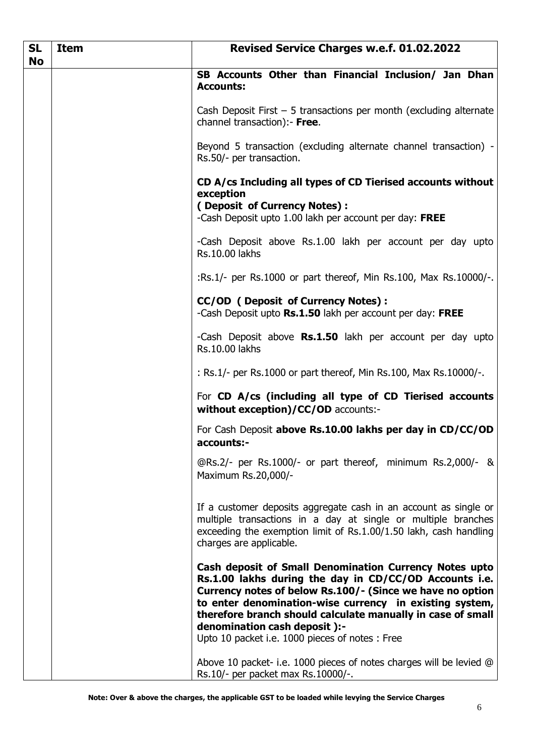| <b>SL</b><br><b>No</b> | <b>Item</b> | <b>Revised Service Charges w.e.f. 01.02.2022</b>                                                                                                                                                                                                                                                                                                                                           |  |
|------------------------|-------------|--------------------------------------------------------------------------------------------------------------------------------------------------------------------------------------------------------------------------------------------------------------------------------------------------------------------------------------------------------------------------------------------|--|
|                        |             | SB Accounts Other than Financial Inclusion/ Jan Dhan<br><b>Accounts:</b>                                                                                                                                                                                                                                                                                                                   |  |
|                        |             | Cash Deposit First $-5$ transactions per month (excluding alternate<br>channel transaction):- Free.                                                                                                                                                                                                                                                                                        |  |
|                        |             | Beyond 5 transaction (excluding alternate channel transaction) -<br>Rs.50/- per transaction.                                                                                                                                                                                                                                                                                               |  |
|                        |             | CD A/cs Including all types of CD Tierised accounts without<br>exception<br>(Deposit of Currency Notes) :<br>-Cash Deposit upto 1.00 lakh per account per day: FREE                                                                                                                                                                                                                        |  |
|                        |             | -Cash Deposit above Rs.1.00 lakh per account per day upto<br><b>Rs.10.00 lakhs</b>                                                                                                                                                                                                                                                                                                         |  |
|                        |             | :Rs.1/- per Rs.1000 or part thereof, Min Rs.100, Max Rs.10000/-.                                                                                                                                                                                                                                                                                                                           |  |
|                        |             | <b>CC/OD (Deposit of Currency Notes):</b><br>-Cash Deposit upto Rs.1.50 lakh per account per day: FREE                                                                                                                                                                                                                                                                                     |  |
|                        |             | -Cash Deposit above Rs.1.50 lakh per account per day upto<br>Rs.10.00 lakhs                                                                                                                                                                                                                                                                                                                |  |
|                        |             | : Rs.1/- per Rs.1000 or part thereof, Min Rs.100, Max Rs.10000/-.                                                                                                                                                                                                                                                                                                                          |  |
|                        |             | For CD A/cs (including all type of CD Tierised accounts<br>without exception)/CC/OD accounts:-                                                                                                                                                                                                                                                                                             |  |
|                        |             | For Cash Deposit above Rs.10.00 lakhs per day in CD/CC/OD<br>accounts:-                                                                                                                                                                                                                                                                                                                    |  |
|                        |             | @Rs.2/- per Rs.1000/- or part thereof, minimum Rs.2,000/- &<br>Maximum Rs.20,000/-                                                                                                                                                                                                                                                                                                         |  |
|                        |             | If a customer deposits aggregate cash in an account as single or<br>multiple transactions in a day at single or multiple branches<br>exceeding the exemption limit of Rs.1.00/1.50 lakh, cash handling<br>charges are applicable.                                                                                                                                                          |  |
|                        |             | Cash deposit of Small Denomination Currency Notes upto<br>Rs.1.00 lakhs during the day in CD/CC/OD Accounts i.e.<br>Currency notes of below Rs.100/- (Since we have no option<br>to enter denomination-wise currency in existing system,<br>therefore branch should calculate manually in case of small<br>denomination cash deposit ):-<br>Upto 10 packet i.e. 1000 pieces of notes: Free |  |
|                        |             | Above 10 packet- i.e. 1000 pieces of notes charges will be levied @<br>Rs.10/- per packet max Rs.10000/-.                                                                                                                                                                                                                                                                                  |  |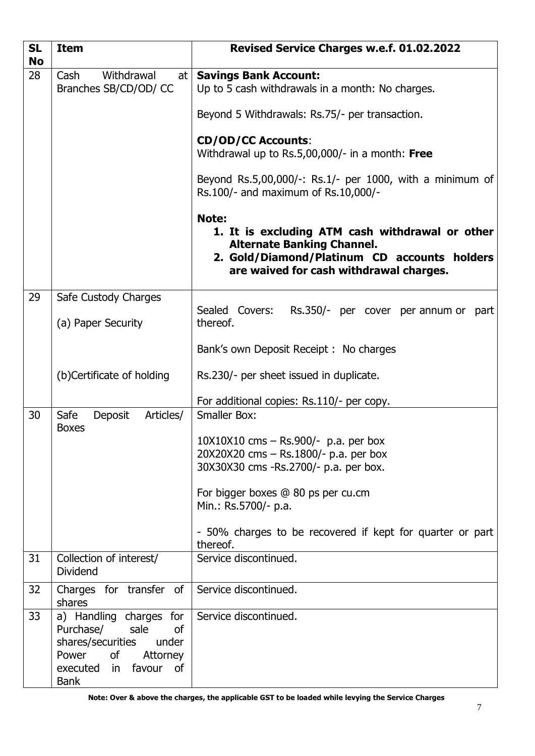| <b>SL</b><br><b>No</b> | <b>Item</b>                                                                                                                                         | Revised Service Charges w.e.f. 01.02.2022                                                                                                                                                                                                                                                                              |  |
|------------------------|-----------------------------------------------------------------------------------------------------------------------------------------------------|------------------------------------------------------------------------------------------------------------------------------------------------------------------------------------------------------------------------------------------------------------------------------------------------------------------------|--|
| 28                     | Withdrawal<br>Cash<br>Branches SB/CD/OD/ CC                                                                                                         | at   Savings Bank Account:<br>Up to 5 cash withdrawals in a month: No charges.<br>Beyond 5 Withdrawals: Rs.75/- per transaction.<br><b>CD/OD/CC Accounts:</b><br>Withdrawal up to $Rs.5,00,000/$ - in a month: Free<br>Beyond Rs.5,00,000/-: Rs.1/- per 1000, with a minimum of<br>Rs.100/- and maximum of Rs.10,000/- |  |
|                        |                                                                                                                                                     | Note:<br>1. It is excluding ATM cash withdrawal or other<br><b>Alternate Banking Channel.</b><br>2. Gold/Diamond/Platinum CD accounts holders<br>are waived for cash withdrawal charges.                                                                                                                               |  |
| 29                     | Safe Custody Charges<br>(a) Paper Security                                                                                                          | Sealed Covers:<br>Rs.350/- per cover per annum or part<br>thereof.<br>Bank's own Deposit Receipt : No charges<br>Rs.230/- per sheet issued in duplicate.<br>For additional copies: Rs.110/- per copy.                                                                                                                  |  |
|                        | (b)Certificate of holding                                                                                                                           |                                                                                                                                                                                                                                                                                                                        |  |
| 30                     | Deposit<br>Safe<br>Articles/<br><b>Boxes</b>                                                                                                        | <b>Smaller Box:</b><br>$10X10X10$ cms $-$ Rs.900/- p.a. per box<br>20X20X20 cms - Rs.1800/- p.a. per box<br>30X30X30 cms -Rs.2700/- p.a. per box.<br>For bigger boxes @ 80 ps per cu.cm<br>Min.: Rs.5700/- p.a.<br>- 50% charges to be recovered if kept for quarter or part<br>thereof.                               |  |
| 31                     | Collection of interest/<br><b>Dividend</b>                                                                                                          | Service discontinued.                                                                                                                                                                                                                                                                                                  |  |
| 32                     | Charges for transfer of<br>shares                                                                                                                   | Service discontinued.                                                                                                                                                                                                                                                                                                  |  |
| 33                     | a) Handling charges for<br>Purchase/<br>sale<br>0f<br>shares/securities<br>under<br>Power<br>of<br>Attorney<br>executed in favour of<br><b>Bank</b> | Service discontinued.                                                                                                                                                                                                                                                                                                  |  |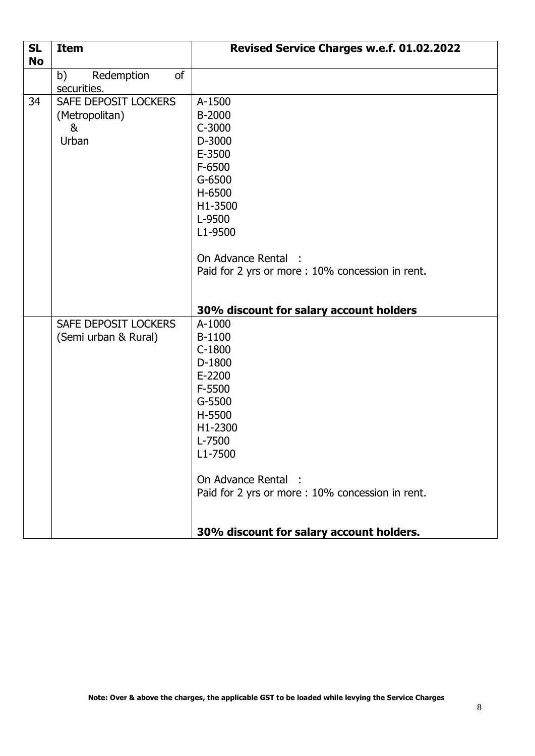| <b>SL</b><br><b>No</b> | <b>Item</b>                                          | Revised Service Charges w.e.f. 01.02.2022                                                                                                                                              |  |
|------------------------|------------------------------------------------------|----------------------------------------------------------------------------------------------------------------------------------------------------------------------------------------|--|
|                        | <sub>of</sub><br>Redemption<br>b)<br>securities.     |                                                                                                                                                                                        |  |
| 34                     | SAFE DEPOSIT LOCKERS<br>(Metropolitan)<br>&<br>Urban | A-1500<br>B-2000<br>C-3000<br>D-3000<br>E-3500<br>F-6500<br>G-6500<br>H-6500<br>H1-3500<br>L-9500<br>L1-9500<br>On Advance Rental<br>Paid for 2 yrs or more: 10% concession in rent.   |  |
|                        |                                                      | 30% discount for salary account holders                                                                                                                                                |  |
|                        | SAFE DEPOSIT LOCKERS<br>(Semi urban & Rural)         | A-1000<br>B-1100<br>$C-1800$<br>D-1800<br>E-2200<br>F-5500<br>G-5500<br>H-5500<br>H1-2300<br>L-7500<br>L1-7500<br>On Advance Rental<br>Paid for 2 yrs or more: 10% concession in rent. |  |
|                        |                                                      | 30% discount for salary account holders.                                                                                                                                               |  |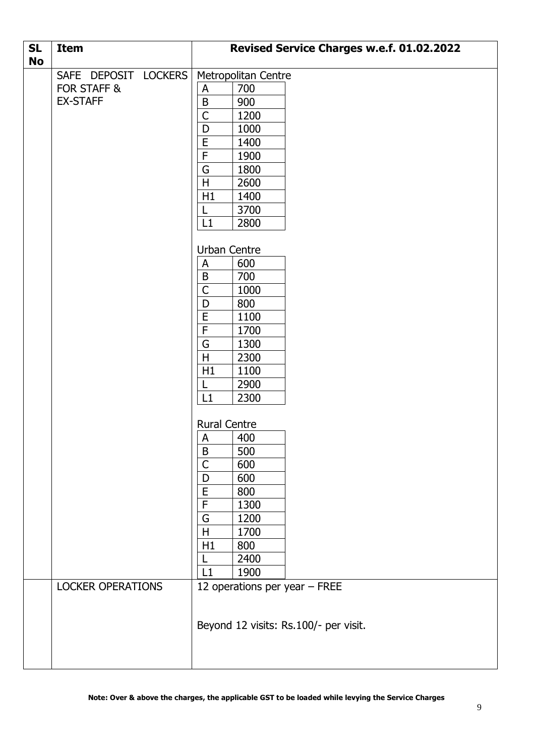| <b>SL</b><br><b>No</b> | <b>Item</b>                                            | Revised Service Charges w.e.f. 01.02.2022                                                                                                                                                               |  |
|------------------------|--------------------------------------------------------|---------------------------------------------------------------------------------------------------------------------------------------------------------------------------------------------------------|--|
|                        | SAFE DEPOSIT LOCKERS<br>FOR STAFF &<br><b>EX-STAFF</b> | Metropolitan Centre<br>700<br>A<br>$\sf B$<br>900<br>$\mathsf{C}$<br>1200<br>1000<br>D<br>E<br>1400<br>$\mathsf F$<br>1900<br>1800<br>G<br>$\mathsf H$<br>2600<br>H1<br>1400<br>3700<br>L<br>L1<br>2800 |  |
|                        |                                                        | Urban Centre<br>600<br>A<br>$\sf B$<br>700<br>$\overline{C}$<br>1000<br>800<br>D<br>E<br>1100<br>F<br>1700<br>G<br>1300<br>H<br>2300<br>1100<br>H1<br>2900<br>L<br>L1<br>2300                           |  |
|                        |                                                        | <b>Rural Centre</b><br>$\mathsf{A}$<br>400<br>500<br>B<br>$\mathsf{C}$<br>600<br>600<br>D<br>$\overline{E}$<br>800<br>F<br>1300<br>G<br>1200<br>H<br>1700<br>H1<br>800<br>2400<br>L1<br>1900            |  |
|                        | <b>LOCKER OPERATIONS</b>                               | 12 operations per year - FREE<br>Beyond 12 visits: Rs.100/- per visit.                                                                                                                                  |  |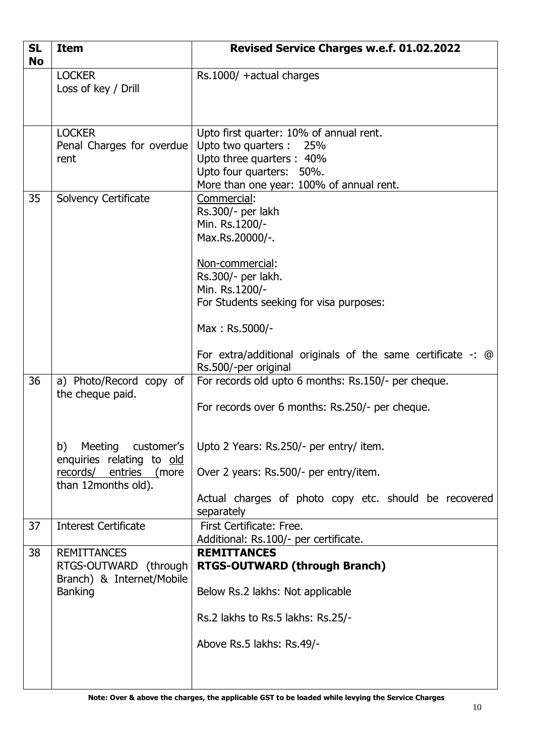| <b>SL</b><br><b>No</b> | <b>Item</b>                                                                                               | Revised Service Charges w.e.f. 01.02.2022                                                                                                                                   |  |
|------------------------|-----------------------------------------------------------------------------------------------------------|-----------------------------------------------------------------------------------------------------------------------------------------------------------------------------|--|
|                        | <b>LOCKER</b><br>Loss of key / Drill                                                                      | Rs.1000/ +actual charges                                                                                                                                                    |  |
|                        | <b>LOCKER</b><br>Penal Charges for overdue<br>rent                                                        | Upto first quarter: 10% of annual rent.<br>Upto two quarters : 25%<br>Upto three quarters: 40%<br>Upto four quarters: 50%.<br>More than one year: 100% of annual rent.      |  |
| 35                     | Solvency Certificate                                                                                      | Commercial:<br>Rs.300/- per lakh<br>Min. Rs.1200/-<br>Max.Rs.20000/-.<br>Non-commercial:<br>Rs.300/- per lakh.<br>Min. Rs.1200/-<br>For Students seeking for visa purposes: |  |
|                        |                                                                                                           | Max: Rs.5000/-<br>For extra/additional originals of the same certificate $-$ : $\omega$<br>Rs.500/-per original                                                             |  |
| 36                     | a) Photo/Record copy of<br>the cheque paid.                                                               | For records old upto 6 months: Rs.150/- per cheque.<br>For records over 6 months: Rs.250/- per cheque.                                                                      |  |
|                        | b)<br>Meeting<br>customer's<br>enquiries relating to old<br>records/ entries (more<br>than 12months old). | Upto 2 Years: Rs.250/- per entry/ item.<br>Over 2 years: Rs.500/- per entry/item.<br>Actual charges of photo copy etc. should be recovered<br>separately                    |  |
| 37                     | <b>Interest Certificate</b>                                                                               | First Certificate: Free.<br>Additional: Rs.100/- per certificate.                                                                                                           |  |
| 38                     | <b>REMITTANCES</b><br>RTGS-OUTWARD (through<br>Branch) & Internet/Mobile<br><b>Banking</b>                | <b>REMITTANCES</b><br>RTGS-OUTWARD (through Branch)<br>Below Rs.2 lakhs: Not applicable<br>Rs.2 lakhs to Rs.5 lakhs: Rs.25/-<br>Above Rs.5 lakhs: Rs.49/-                   |  |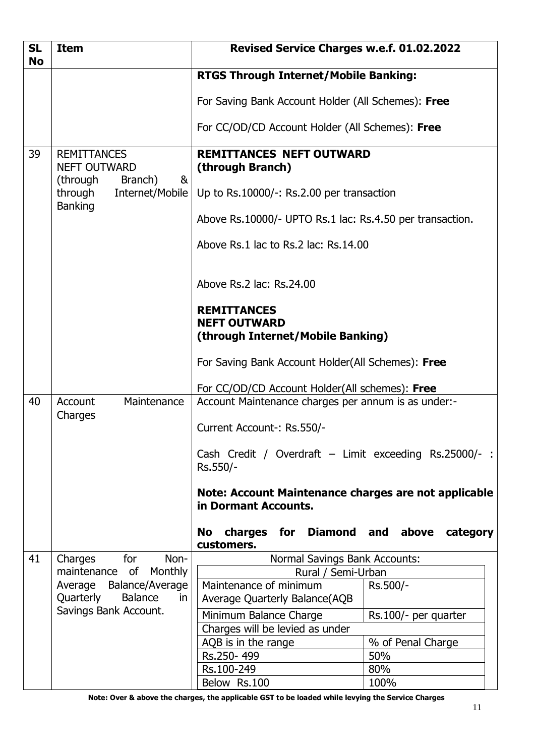| <b>SL</b><br><b>No</b> | <b>Item</b>                                                                | Revised Service Charges w.e.f. 01.02.2022                                         |  |
|------------------------|----------------------------------------------------------------------------|-----------------------------------------------------------------------------------|--|
|                        |                                                                            | <b>RTGS Through Internet/Mobile Banking:</b>                                      |  |
|                        |                                                                            | For Saving Bank Account Holder (All Schemes): Free                                |  |
|                        |                                                                            | For CC/OD/CD Account Holder (All Schemes): Free                                   |  |
| 39                     | <b>REMITTANCES</b><br><b>NEFT OUTWARD</b><br>Branch)<br>&                  | <b>REMITTANCES NEFT OUTWARD</b><br>(through Branch)                               |  |
|                        | (through<br>through<br>Internet/Mobile<br><b>Banking</b>                   | Up to Rs.10000/-: Rs.2.00 per transaction                                         |  |
|                        |                                                                            | Above Rs.10000/- UPTO Rs.1 lac: Rs.4.50 per transaction.                          |  |
|                        |                                                                            | Above Rs.1 lac to Rs.2 lac: Rs.14.00                                              |  |
|                        |                                                                            | Above Rs.2 lac: Rs.24.00                                                          |  |
|                        |                                                                            | <b>REMITTANCES</b><br><b>NEFT OUTWARD</b><br>(through Internet/Mobile Banking)    |  |
|                        |                                                                            | For Saving Bank Account Holder(All Schemes): Free                                 |  |
|                        |                                                                            | For CC/OD/CD Account Holder(All schemes): Free                                    |  |
| 40                     | Account<br>Maintenance<br>Charges                                          | Account Maintenance charges per annum is as under:-                               |  |
|                        |                                                                            | Current Account-: Rs.550/-                                                        |  |
|                        |                                                                            | Cash Credit / Overdraft - Limit exceeding Rs.25000/- :<br>Rs.550/-                |  |
|                        |                                                                            | Note: Account Maintenance charges are not applicable<br>in Dormant Accounts.      |  |
|                        |                                                                            | charges for Diamond and above<br>No<br>category<br>customers.                     |  |
| 41                     | Charges<br>for<br>Non-                                                     | Normal Savings Bank Accounts:                                                     |  |
|                        | maintenance of Monthly                                                     | Rural / Semi-Urban                                                                |  |
|                        | Balance/Average<br>Average<br><b>Balance</b><br>Quarterly<br>$\mathsf{in}$ | Maintenance of minimum<br>Rs.500/-<br>Average Quarterly Balance(AQB               |  |
|                        | Savings Bank Account.                                                      |                                                                                   |  |
|                        |                                                                            | Minimum Balance Charge<br>Rs.100/- per quarter<br>Charges will be levied as under |  |
|                        |                                                                            | % of Penal Charge<br>AQB is in the range                                          |  |
|                        |                                                                            | Rs.250-499<br>50%                                                                 |  |
|                        |                                                                            | 80%<br>Rs.100-249                                                                 |  |
|                        |                                                                            | Below Rs.100<br>100%                                                              |  |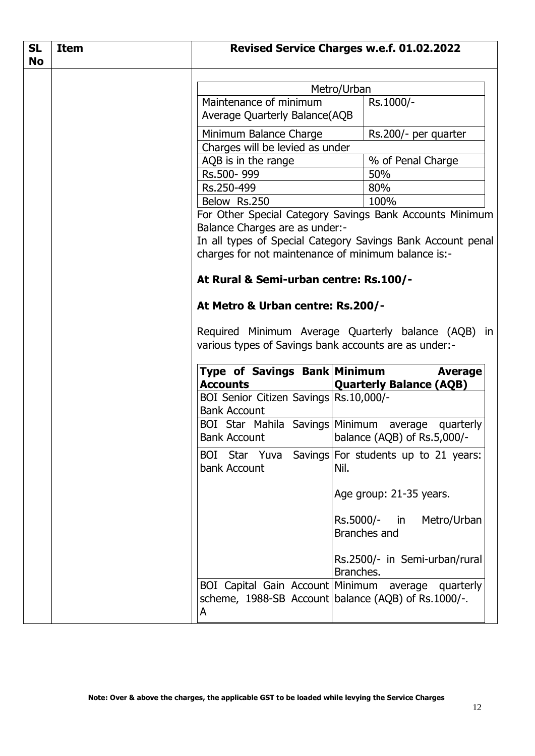| <b>SL</b><br><b>No</b> | <b>Item</b> |                                                               | Revised Service Charges w.e.f. 01.02.2022                |
|------------------------|-------------|---------------------------------------------------------------|----------------------------------------------------------|
|                        |             | Metro/Urban                                                   |                                                          |
|                        |             | Maintenance of minimum                                        | Rs.1000/-                                                |
|                        |             | Average Quarterly Balance(AQB                                 |                                                          |
|                        |             | Minimum Balance Charge                                        | Rs.200/- per quarter                                     |
|                        |             | Charges will be levied as under                               |                                                          |
|                        |             | AQB is in the range                                           | % of Penal Charge                                        |
|                        |             | Rs.500-999                                                    | 50%                                                      |
|                        |             | Rs.250-499                                                    | 80%                                                      |
|                        |             | Below Rs.250                                                  | 100%                                                     |
|                        |             |                                                               | For Other Special Category Savings Bank Accounts Minimum |
|                        |             | Balance Charges are as under:-                                |                                                          |
|                        |             | In all types of Special Category Savings Bank Account penal   |                                                          |
|                        |             | charges for not maintenance of minimum balance is:-           |                                                          |
|                        |             | At Rural & Semi-urban centre: Rs.100/-                        |                                                          |
|                        |             | At Metro & Urban centre: Rs.200/-                             |                                                          |
|                        |             |                                                               |                                                          |
|                        |             |                                                               | Required Minimum Average Quarterly balance (AQB) in      |
|                        |             | various types of Savings bank accounts are as under:-         |                                                          |
|                        |             |                                                               |                                                          |
|                        |             | Type of Savings Bank Minimum                                  | <b>Average</b>                                           |
|                        |             | <b>Accounts</b>                                               | <b>Quarterly Balance (AQB)</b>                           |
|                        |             | BOI Senior Citizen Savings Rs.10,000/-<br><b>Bank Account</b> |                                                          |
|                        |             | BOI Star Mahila Savings Minimum<br><b>Bank Account</b>        | average quarterly                                        |
|                        |             |                                                               | balance (AQB) of Rs.5,000/-                              |
|                        |             | <b>BOI</b><br>bank Account                                    | Star Yuva Savings For students up to 21 years:<br>Nil.   |
|                        |             |                                                               | Age group: 21-35 years.                                  |
|                        |             |                                                               | Rs.5000/-<br>Metro/Urban<br>in                           |
|                        |             |                                                               | Branches and                                             |
|                        |             |                                                               | Rs.2500/- in Semi-urban/rural<br>Branches.               |
|                        |             | BOI Capital Gain Account   Minimum                            | average quarterly                                        |
|                        |             |                                                               | scheme, 1988-SB Account balance (AQB) of Rs.1000/-.      |
|                        |             | A                                                             |                                                          |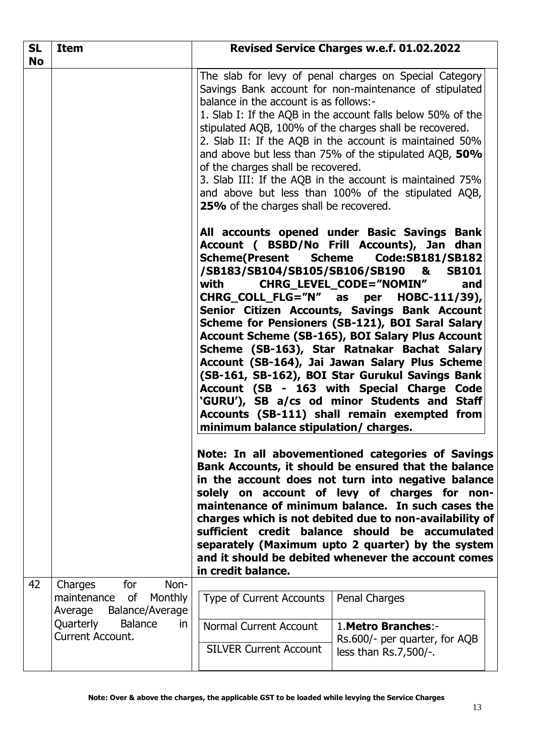| <b>SL</b><br><b>No</b>                                                                                                                                                                                                                                                                                                                                                                                                                                                                                                                                                                                                                                                                                                                                              | <b>Item</b>                                                                                                                | Revised Service Charges w.e.f. 01.02.2022                                                                                                                                                                                                                                                                                                                                                                                                                                                                                   |                                                                                                                                                                                                                                                                                                                                                                                                                                                                                    |  |  |
|---------------------------------------------------------------------------------------------------------------------------------------------------------------------------------------------------------------------------------------------------------------------------------------------------------------------------------------------------------------------------------------------------------------------------------------------------------------------------------------------------------------------------------------------------------------------------------------------------------------------------------------------------------------------------------------------------------------------------------------------------------------------|----------------------------------------------------------------------------------------------------------------------------|-----------------------------------------------------------------------------------------------------------------------------------------------------------------------------------------------------------------------------------------------------------------------------------------------------------------------------------------------------------------------------------------------------------------------------------------------------------------------------------------------------------------------------|------------------------------------------------------------------------------------------------------------------------------------------------------------------------------------------------------------------------------------------------------------------------------------------------------------------------------------------------------------------------------------------------------------------------------------------------------------------------------------|--|--|
|                                                                                                                                                                                                                                                                                                                                                                                                                                                                                                                                                                                                                                                                                                                                                                     |                                                                                                                            | balance in the account is as follows:-<br>of the charges shall be recovered.<br>25% of the charges shall be recovered.                                                                                                                                                                                                                                                                                                                                                                                                      | The slab for levy of penal charges on Special Category<br>Savings Bank account for non-maintenance of stipulated<br>1. Slab I: If the AQB in the account falls below 50% of the<br>stipulated AQB, 100% of the charges shall be recovered.<br>2. Slab II: If the AQB in the account is maintained 50%<br>and above but less than 75% of the stipulated AQB, 50%<br>3. Slab III: If the AQB in the account is maintained 75%<br>and above but less than 100% of the stipulated AQB, |  |  |
| All accounts opened under Basic Savings Bank<br>Account (BSBD/No Frill Accounts), Jan dhan<br>Scheme(Present Scheme<br>Code:SB181/SB182<br>/SB183/SB104/SB105/SB106/SB190<br>&<br>with<br>CHRG_LEVEL_CODE="NOMIN"<br>CHRG_COLL_FLG="N" as<br>per HOBC-111/39),<br>Senior Citizen Accounts, Savings Bank Account<br>Scheme for Pensioners (SB-121), BOI Saral Salary<br>Account Scheme (SB-165), BOI Salary Plus Account<br>Scheme (SB-163), Star Ratnakar Bachat Salary<br>Account (SB-164), Jai Jawan Salary Plus Scheme<br>(SB-161, SB-162), BOI Star Gurukul Savings Bank<br>Account (SB - 163 with Special Charge Code<br>'GURU'), SB a/cs od minor Students and Staff<br>Accounts (SB-111) shall remain exempted from<br>minimum balance stipulation/ charges. |                                                                                                                            |                                                                                                                                                                                                                                                                                                                                                                                                                                                                                                                             |                                                                                                                                                                                                                                                                                                                                                                                                                                                                                    |  |  |
|                                                                                                                                                                                                                                                                                                                                                                                                                                                                                                                                                                                                                                                                                                                                                                     |                                                                                                                            | Note: In all abovementioned categories of Savings<br>Bank Accounts, it should be ensured that the balance<br>in the account does not turn into negative balance<br>on account of levy of charges for<br>solely<br>non-<br>maintenance of minimum balance. In such cases the<br>charges which is not debited due to non-availability of<br>sufficient credit balance should be accumulated<br>separately (Maximum upto 2 quarter) by the system<br>and it should be debited whenever the account comes<br>in credit balance. |                                                                                                                                                                                                                                                                                                                                                                                                                                                                                    |  |  |
| 42                                                                                                                                                                                                                                                                                                                                                                                                                                                                                                                                                                                                                                                                                                                                                                  | Charges<br>for<br>Non-                                                                                                     |                                                                                                                                                                                                                                                                                                                                                                                                                                                                                                                             |                                                                                                                                                                                                                                                                                                                                                                                                                                                                                    |  |  |
|                                                                                                                                                                                                                                                                                                                                                                                                                                                                                                                                                                                                                                                                                                                                                                     | of<br><b>Monthly</b><br>maintenance<br>Average<br>Balance/Average<br>Quarterly<br><b>Balance</b><br>in<br>Current Account. | <b>Type of Current Accounts</b>                                                                                                                                                                                                                                                                                                                                                                                                                                                                                             | Penal Charges                                                                                                                                                                                                                                                                                                                                                                                                                                                                      |  |  |
|                                                                                                                                                                                                                                                                                                                                                                                                                                                                                                                                                                                                                                                                                                                                                                     |                                                                                                                            | Normal Current Account                                                                                                                                                                                                                                                                                                                                                                                                                                                                                                      | 1. Metro Branches:-<br>Rs.600/- per quarter, for AQB                                                                                                                                                                                                                                                                                                                                                                                                                               |  |  |
|                                                                                                                                                                                                                                                                                                                                                                                                                                                                                                                                                                                                                                                                                                                                                                     |                                                                                                                            | <b>SILVER Current Account</b>                                                                                                                                                                                                                                                                                                                                                                                                                                                                                               | less than Rs.7,500/-.                                                                                                                                                                                                                                                                                                                                                                                                                                                              |  |  |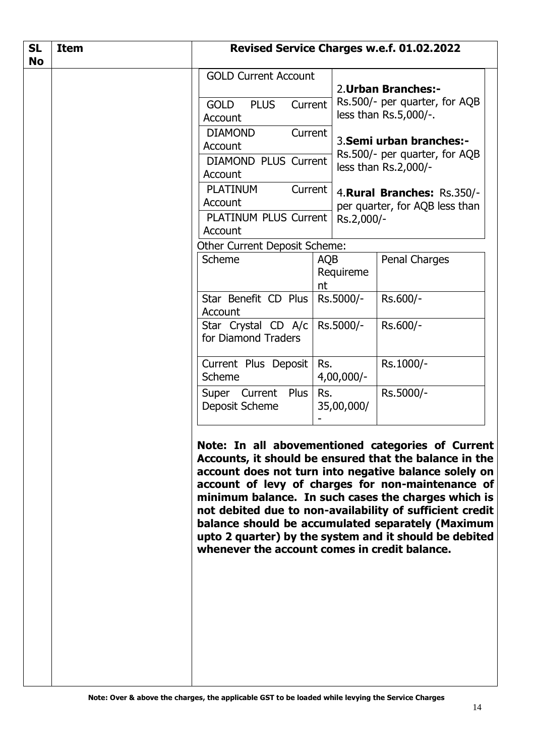| <b>SL</b><br><b>No</b> | <b>Item</b> | Revised Service Charges w.e.f. 01.02.2022                                                                                                                                                                  |                               |                                                                                                                                                                                                                                                                                                                                                                                                                                                             |
|------------------------|-------------|------------------------------------------------------------------------------------------------------------------------------------------------------------------------------------------------------------|-------------------------------|-------------------------------------------------------------------------------------------------------------------------------------------------------------------------------------------------------------------------------------------------------------------------------------------------------------------------------------------------------------------------------------------------------------------------------------------------------------|
|                        |             | <b>GOLD Current Account</b><br><b>PLUS</b><br><b>GOLD</b><br>Current<br>Account<br><b>DIAMOND</b><br>Current<br>Account<br><b>DIAMOND PLUS Current</b><br>Account<br><b>PLATINUM</b><br>Current<br>Account |                               | 2. Urban Branches:-<br>Rs.500/- per quarter, for AQB<br>less than Rs.5,000/-.<br>3. Semi urban branches:-<br>Rs.500/- per quarter, for AQB<br>less than Rs.2,000/-<br>4. Rural Branches: Rs.350/-<br>per quarter, for AQB less than                                                                                                                                                                                                                         |
|                        |             | PLATINUM PLUS Current<br>Account<br>Other Current Deposit Scheme:                                                                                                                                          | Rs.2,000/-                    |                                                                                                                                                                                                                                                                                                                                                                                                                                                             |
|                        |             | Scheme                                                                                                                                                                                                     | <b>AQB</b><br>Requireme<br>nt | Penal Charges                                                                                                                                                                                                                                                                                                                                                                                                                                               |
|                        |             | Star Benefit CD Plus<br>Account                                                                                                                                                                            | Rs.5000/-                     | Rs.600/-                                                                                                                                                                                                                                                                                                                                                                                                                                                    |
|                        |             | Star Crystal CD A/c  <br>for Diamond Traders                                                                                                                                                               | Rs.5000/-                     | Rs.600/-                                                                                                                                                                                                                                                                                                                                                                                                                                                    |
|                        |             | Current Plus Deposit<br>Scheme                                                                                                                                                                             | Rs.<br>$4,00,000/-$           | Rs.1000/-                                                                                                                                                                                                                                                                                                                                                                                                                                                   |
|                        |             | Super Current Plus<br>Deposit Scheme                                                                                                                                                                       | Rs.<br>35,00,000/             | Rs.5000/-                                                                                                                                                                                                                                                                                                                                                                                                                                                   |
|                        |             | whenever the account comes in credit balance.                                                                                                                                                              |                               | Note: In all abovementioned categories of Current<br>Accounts, it should be ensured that the balance in the<br>account does not turn into negative balance solely on<br>account of levy of charges for non-maintenance of<br>minimum balance. In such cases the charges which is<br>not debited due to non-availability of sufficient credit<br>balance should be accumulated separately (Maximum<br>upto 2 quarter) by the system and it should be debited |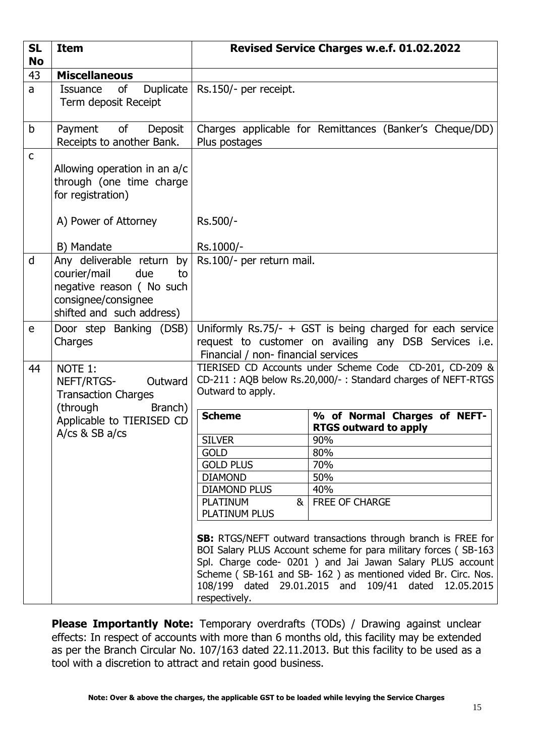| <b>SL</b><br><b>No</b> | <b>Item</b>                                                                                                                               | Revised Service Charges w.e.f. 01.02.2022                                                                                                                                                                                                                                                                                                      |                                                                                                                         |  |
|------------------------|-------------------------------------------------------------------------------------------------------------------------------------------|------------------------------------------------------------------------------------------------------------------------------------------------------------------------------------------------------------------------------------------------------------------------------------------------------------------------------------------------|-------------------------------------------------------------------------------------------------------------------------|--|
| 43                     | <b>Miscellaneous</b>                                                                                                                      |                                                                                                                                                                                                                                                                                                                                                |                                                                                                                         |  |
| a                      | Duplicate<br>of<br><b>Issuance</b><br>Term deposit Receipt                                                                                | Rs.150/- per receipt.                                                                                                                                                                                                                                                                                                                          |                                                                                                                         |  |
| b                      | Payment of<br>Deposit<br>Receipts to another Bank.                                                                                        | Charges applicable for Remittances (Banker's Cheque/DD)<br>Plus postages                                                                                                                                                                                                                                                                       |                                                                                                                         |  |
| $\mathsf{C}$           | Allowing operation in an a/c<br>through (one time charge<br>for registration)                                                             |                                                                                                                                                                                                                                                                                                                                                |                                                                                                                         |  |
|                        | A) Power of Attorney                                                                                                                      | Rs.500/-                                                                                                                                                                                                                                                                                                                                       |                                                                                                                         |  |
|                        | B) Mandate                                                                                                                                | Rs.1000/-                                                                                                                                                                                                                                                                                                                                      |                                                                                                                         |  |
| d                      | Any deliverable return<br>by<br>courier/mail<br>due<br>to<br>negative reason (No such<br>consignee/consignee<br>shifted and such address) | Rs.100/- per return mail.                                                                                                                                                                                                                                                                                                                      |                                                                                                                         |  |
| e                      | Door step Banking (DSB)<br>Charges                                                                                                        | Uniformly Rs.75/- $+$ GST is being charged for each service<br>request to customer on availing any DSB Services i.e.<br>Financial / non- financial services                                                                                                                                                                                    |                                                                                                                         |  |
| 44                     | NOTE 1:<br>NEFT/RTGS-<br>Outward<br><b>Transaction Charges</b>                                                                            | Outward to apply.                                                                                                                                                                                                                                                                                                                              | TIERISED CD Accounts under Scheme Code CD-201, CD-209 &<br>CD-211: AQB below Rs.20,000/-: Standard charges of NEFT-RTGS |  |
|                        | (through<br>Branch)<br>Applicable to TIERISED CD                                                                                          | <b>Scheme</b>                                                                                                                                                                                                                                                                                                                                  | % of Normal Charges of NEFT-<br><b>RTGS outward to apply</b>                                                            |  |
|                        | A/ $cs$ & SB a/ $cs$                                                                                                                      | <b>SILVER</b>                                                                                                                                                                                                                                                                                                                                  | 90%                                                                                                                     |  |
|                        |                                                                                                                                           | <b>GOLD</b>                                                                                                                                                                                                                                                                                                                                    | 80%                                                                                                                     |  |
|                        |                                                                                                                                           | <b>GOLD PLUS</b>                                                                                                                                                                                                                                                                                                                               | 70%                                                                                                                     |  |
|                        |                                                                                                                                           | <b>DIAMOND</b><br><b>DIAMOND PLUS</b>                                                                                                                                                                                                                                                                                                          | 50%<br>40%                                                                                                              |  |
|                        |                                                                                                                                           | <b>PLATINUM</b><br>&                                                                                                                                                                                                                                                                                                                           | <b>FREE OF CHARGE</b>                                                                                                   |  |
|                        |                                                                                                                                           | <b>PLATINUM PLUS</b>                                                                                                                                                                                                                                                                                                                           |                                                                                                                         |  |
|                        |                                                                                                                                           | <b>SB:</b> RTGS/NEFT outward transactions through branch is FREE for<br>BOI Salary PLUS Account scheme for para military forces (SB-163<br>Spl. Charge code- 0201 ) and Jai Jawan Salary PLUS account<br>Scheme (SB-161 and SB-162) as mentioned vided Br. Circ. Nos.<br>108/199 dated 29.01.2015 and 109/41 dated 12.05.2015<br>respectively. |                                                                                                                         |  |

**Please Importantly Note:** Temporary overdrafts (TODs) / Drawing against unclear effects: In respect of accounts with more than 6 months old, this facility may be extended as per the Branch Circular No. 107/163 dated 22.11.2013. But this facility to be used as a tool with a discretion to attract and retain good business.